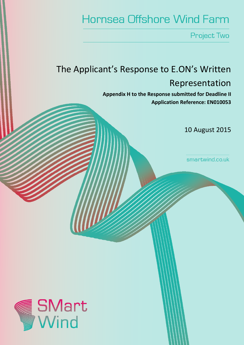# **Hornsea Offshore Wind Farm**

Project Two

# The Applicant's Response to E.ON's Written Representation

Appendix H to the Response submitted for Deadline II Application Reference: EN010053

10 August 2015

smartwind.co.uk

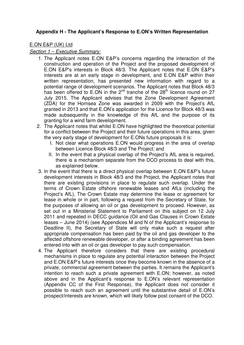# **Appendix H - The Applicant's Response to E.ON's Written Representation**

## E.ON E&P (UK) Ltd

#### Section 1 – Executive Summary:

- 1. The Applicant notes E.ON E&P's concerns regarding the interaction of the construction and operation of the Project and the proposed development of E.ON E&P's interests in Block 48/3. The Applicant notes that E.ON E&P's interests are at an early stage in development, and E.ON E&P within their written representation, has presented new information with regard to a potential range of development scenarios. The Applicant notes that Block 48/3 has been offered to E.ON in the  $2^{nd}$  tranche of the  $28<sup>th</sup>$  licence round on 27 July 2015. The Applicant advises that the Zone Development Agreement (ZDA) for the Hornsea Zone was awarded in 2009 with the Project's AfL granted in 2013 and that E.ON's application for the Licence for Block 48/3 was made subsequently in the knowledge of this AfL and the purpose of its granting for a wind farm development.
- 2. The Applicant notes that whilst E.ON have highlighted the theoretical potential for a conflict between the Project and their future operations in this area, given the very early stage of development for E.ONs future proposals it is:
	- I. Not clear what operations E.ON would progress in the area of overlap between Licence Block 48/3 and The Project; and
	- II. In the event that a physical overlap of the Project's AfL area is required, there is a mechanism separate from the DCO process to deal with this, as explained below.
- 3. In the event that there is a direct physical overlap between E.ON E&P's future development interests in Block 48/3 and the Project, the Applicant notes that there are existing provisions in place to regulate such overlap. Under the terms of Crown Estate offshore renewable leases and AfLs (including the Project's AfL), The Crown Estate may determine the lease or agreement for lease in whole or in part, following a request from the Secretary of State, for the purposes of allowing an oil or gas development to proceed. However, as set out in a Ministerial Statement to Parliament on this subject on 12 July 2011 and repeated in DECC guidance (Oil and Gas Clauses in Crown Estate leases – June 2014) (see Appendices M and N of the Applicant's response to Deadline II), the Secretary of State will only make such a request after appropriate compensation has been paid by the oil and gas developer to the affected offshore renewable developer, or after a binding agreement has been entered into with an oil or gas developer to pay such compensation.
- 4. The Applicant therefore considers that there are existing procedural mechanisms in place to regulate any potential interaction between the Project and E.ON E&P's future interests once they become known in the absence of a private, commercial agreement between the parties. It remains the Applicant's intention to reach such a private agreement with E.ON; however, as noted above and in the Applicant's response to E.ON's relevant representation (Appendix CC of the First Response), the Applicant does not consider it possible to reach such an agreement until the substantive detail of E.ON's prospect/interests are known, which will likely follow post consent of the DCO.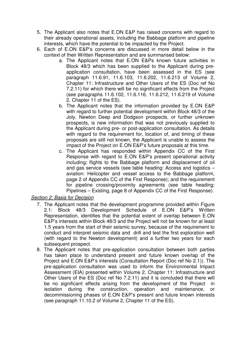- 5. The Applicant also notes that E.ON E&P has raised concerns with regard to their already operational assets, including the Babbage platform and pipeline interests, which have the potential to be impacted by the Project.
- 6. Each of E.ON E&P's concerns are discussed in more detail below in the context of their Written Representation and are summarised below:
	- a. The Applicant notes that E.ON E&Ps known future activities in Block 48/3 which has been supplied to the Applicant during preapplication consultation, have been assessed in the ES (see paragraph 11.6.91, 11.6.103, 11.6.202, 11.6.213 of Volume 2, Chapter 11: Infrastructure and Other Users of the ES (Doc ref No 7.2.11) for which there will be no significant effects from the Project (see paragraphs 11.6.102, 11.6.116, 11.6.212, 11.6.219 of Volume 2, Chapter 11 of the ES).
	- b. The Applicant notes that the information provided by E.ON E&P with regard to further potential development within Block 48/3 of the Joly, Newton Deep and Dodgson prospects, or further unknown prospects, is new information that was not previously supplied to the Applicant during pre- or post-application consultation. As details with regard to the requirement for, location of, and timing of these proposals are still not known, the Applicant is unable to assess the impact of the Project on E.ON E&P's future proposals at this time.
	- c. The Applicant has responded within Appendix CC of the First Response with regard to E.ON E&P's present operational activity including; flights to the Babbage platform and displacement of oil and gas service vessels (see table heading: Access and logistics – aviation: Helicopter and vessel access to the Babbage platform, page 2 of Appendix CC of the First Response); and the requirement for pipeline crossing/proximity agreements (see table heading: Pipelines – Existing, page 8 of Appendix CC of the First Response).

## Section 2: Basis for Decision

- 7. The Applicant notes that the development programme provided within Figure 2.1: Block 48/3 Development Schedule of E.ON E&P's Written Representation, identifies that the potential extent of overlap between E.ON E&P's interests within Block 48/3 and the Project will not be known for at least 1.5 years from the start of their seismic survey, because of the requirement to conduct and interpret seismic data and drill and test the first exploration well (with regard to the Newton development) and a further two years for each subsequent prospect.
- 8. The Applicant notes that pre-application consultation between both parties has taken place to understand present and future known overlap of the Project and E.ON E&P's interests (Consultation Report (Doc ref No 2.1)). The pre-application consultation was used to inform the Environmental Impact Assessment (EIA) presented within Volume 2, Chapter 11: Infrastructure and Other Users of the ES (Doc ref No 7.2.11) and it is concluded that there will be no significant effects arising from the development of the Project in isolation during the construction, operation and maintenance, or decommissioning phases of E.ON E&P's present and future known interests (see paragraph 11.10.2 of Volume 2, Chapter 11 of the ES).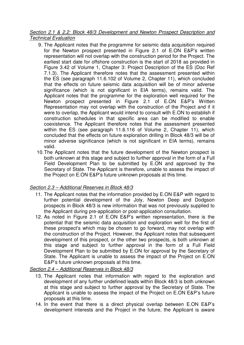### Section 2.1 & 2.2: Block 48/3 Development and Newton Prospect Description and Technical Evaluation

- 9. The Applicant notes that the programme for seismic data acquisition required for the Newton prospect presented in Figure 2.1 of E.ON E&P's written representation will not overlap with the construction period for the Project. The earliest start date for offshore construction is the start of 2018 as provided in Figure 3.42 of Volume 1, Chapter 3: Project Description of the ES (Doc Ref 7.1.3). The Applicant therefore notes that the assessment presented within the ES (see paragraph 11.6.102 of Volume 2, Chapter 11), which concluded that the effects on future seismic data acquisition will be of minor adverse significance (which is not significant in EIA terms), remains valid. The Applicant notes that the programme for the exploration well required for the Newton prospect presented in Figure 2.1 of E.ON E&P's Written Representation may not overlap with the construction of the Project and if it were to overlap, the Applicant would intend to consult with E.ON to establish if construction schedules in that specific area can be modified to enable coexistence. The Applicant therefore notes that the assessment presented within the ES (see paragraph 11.6.116 of Volume 2, Chapter 11), which concluded that the effects on future exploration drilling in Block 48/3 will be of minor adverse significance (which is not significant in EIA terms), remains valid.
- 10. The Applicant notes that the future development of the Newton prospect is both unknown at this stage and subject to further approval in the form of a Full Field Development Plan to be submitted by E.ON and approved by the Secretary of State. The Applicant is therefore, unable to assess the impact of the Project on E.ON E&P's future unknown proposals at this time.

# Section 2.3 – Additional Reserves in Block 48/3

- 11. The Applicant notes that the information provided by E.ON E&P with regard to further potential development of the Joly, Newton Deep and Dodgson prospects in Block 48/3 is new information that was not previously supplied to the Applicant during pre-application or post-application consultation.
- 12. As noted in Figure 2.1 of E.ON E&P's written representation, there is the potential that the seismic data acquisition and exploration well for the first of these prospect's which may be chosen to go forward, may not overlap with the construction of the Project. However, the Applicant notes that subsequent development of this prospect, or the other two prospects, is both unknown at this stage and subject to further approval in the form of a Full Field Development Plan to be submitted by E.ON for approval by the Secretary of State. The Applicant is unable to assess the impact of the Project on E.ON E&P's future unknown proposals at this time.

# Section 2.4 – Additional Reserves in Block 48/3

- 13. The Applicant notes that information with regard to the exploration and development of any further undefined leads within Block 48/3 is both unknown at this stage and subject to further approval by the Secretary of State. The Applicant is unable to assess the impact of the Project on E.ON E&P's future proposals at this time.
- 14. In the event that there is a direct physical overlap between E.ON E&P's development interests and the Project in the future, the Applicant is aware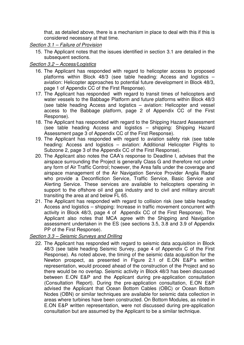that, as detailed above, there is a mechanism in place to deal with this if this is considered necessary at that time.

## Section 3.1 – Failure of Provision

15. The Applicant notes that the issues identified in section 3.1 are detailed in the subsequent sections.

## Section 3.2 – Access/Logistics

- 16. The Applicant has responded with regard to helicopter access to proposed platforms within Block 48/3 (see table heading: Access and logistics – aviation: Helicopter approaches to potential future development in Block 48/3, page 1 of Appendix CC of the First Response).
- 17. The Applicant has responded with regard to transit times of helicopters and water vessels to the Babbage Platform and future platforms within Block 48/3 (see table heading Access and logistics – aviation: Helicopter and vessel access to the Babbage platform, page 2 of Appendix CC of the First Response).
- 18. The Applicant has responded with regard to the Shipping Hazard Assessment (see table heading Access and logistics – shipping: Shipping Hazard Assessment page 3 of Appendix CC of the First Response).
- 19. The Applicant has responded with regard to aviation safety risk (see table heading: Access and logistics – aviation: Additional Helicopter Flights to Subzone 2, page 3 of the Appendix CC of the First Response).
- 20. The Applicant also notes the CAA's response to Deadline I, advises that the airspace surrounding the Project is generally Class G and therefore not under any form of Air Traffic Control; however, the Area falls under the coverage and airspace management of the Air Navigation Service Provider Anglia Radar who provide a Deconfliction Service, Traffic Service, Basic Service and Alerting Service. These services are available to helicopters operating in support to the offshore oil and gas industry and to civil and military aircraft transiting the area at and below FL 65.
- 21. The Applicant has responded with regard to collision risk (see table heading Access and logistics – shipping: Increase in traffic movement concurrent with activity in Block 48/3, page 4 of Appendix CC of the First Response). The Applicant also notes that MCA agree with the Shipping and Navigation assessment undertaken in the ES (see sections 3.5, 3.8 and 3.9 of Appendix PP of the First Response).

## Section 3.3 – Seismic Surveys and Drilling

22. The Applicant has responded with regard to seismic data acquisition in Block 48/3 (see table heading Seismic Survey, page 4 of Appendix C of the First Response). As noted above, the timing of the seismic data acquisition for the Newton prospect, as presented in Figure 2.1 of E.ON E&P's written representation, would proceed ahead of the construction of the Project and so there would be no overlap. Seismic activity in Block 48/3 has been discussed between E.ON E&P and the Applicant during pre-application consultation (Consultation Report). During the pre-application consultation, E.ON E&P advised the Applicant that Ocean Bottom Cables (OBC) or Ocean Bottom Nodes (OBN) or similar techniques are available for seismic data collection in areas where turbines have been constructed. On Bottom Modules, as noted in E.ON E&P written representation, were not discussed during pre-application consultation but are assumed by the Applicant to be a similar technique.